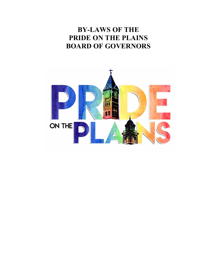# **BY-LAWS OF THE PRIDE ON THE PLAINS BOARD OF GOVERNORS**

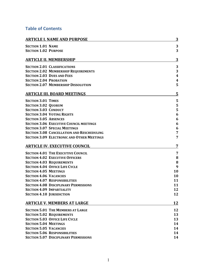## **Table of Contents**

| <b>ARTICLE I. NAME AND PURPOSE</b>                | 3                |
|---------------------------------------------------|------------------|
| <b>SECTION 1.01 NAME</b>                          | 3                |
| <b>SECTION 1.02 PURPOSE</b>                       | 3                |
| <b>ARTICLE II. MEMBERSHIP</b>                     | 3                |
| <b>SECTION 2.01 CLASSIFICATIONS</b>               | 3                |
| <b>SECTION 2.02 MEMBERSHIP REQUIREMENTS</b>       | 3                |
| <b>SECTION 2.03 DUES AND FEES</b>                 | $\boldsymbol{4}$ |
| <b>SECTION 2.04 PROBATION</b>                     | 4                |
| <b>SECTION 2.07 MEMBERSHIP DISSOLUTION</b>        | 5                |
| <b>ARTICLE III. BOARD MEETINGS</b>                | 5                |
| <b>SECTION 3.01 TIMES</b>                         | 5                |
| <b>SECTION 3.02 QUORUM</b>                        | 5                |
| <b>SECTION 3.03 CONDUCT</b>                       | 5                |
| <b>SECTION 3.04 VOTING RIGHTS</b>                 | 6                |
| <b>SECTION 3.05 ABSENCES</b>                      | 6                |
| <b>SECTION 3.06 EXECUTIVE COUNCIL MEETINGS</b>    | 6                |
| <b>SECTION 3.07 SPECIAL MEETINGS</b>              | 6                |
| <b>SECTION 3.08 CANCELLATION AND RESCHEDULING</b> | 7                |
| <b>SECTION 3.09 ELECTRONIC AND OTHER MEETINGS</b> | 7                |
| <b>ARTICLE IV. EXECUTIVE COUNCIL</b>              | 7                |
| <b>SECTION 4.01 THE EXECUTIVE COUNCIL</b>         | 7                |
| <b>SECTION 4.02 EXECUTIVE OFFICERS</b>            | ${\bf 8}$        |
| <b>SECTION 4.03 REQUIREMENTS</b>                  | 8                |
| <b>SECTION 4.04 OFFICE LIFE CYCLE</b>             | 9                |
| <b>SECTION 4.05 MEETINGS</b>                      | 10               |
| <b>SECTION 4.06 VACANCIES</b>                     | 10               |
| <b>SECTION 4.07 RESPONSIBILITIES</b>              | 11               |
| <b>SECTION 4.08 DISCIPLINARY PERMISSIONS</b>      | 11               |
| <b>SECTION 4.09 IMPARTIALITY</b>                  | 12               |
| <b>SECTION 4.10 JURISDICTION</b>                  | 12               |
| <b>ARTICLE V. MEMBERS AT LARGE</b>                | 12               |
| <b>SECTION 5.01 THE MEMBERS AT LARGE</b>          | 12               |
| <b>SECTION 5.02 REQUIREMENTS</b>                  | 13               |
| <b>SECTION 5.03 OFFICE LIFE CYCLE</b>             | 13               |
| <b>SECTION 5.04 MEETINGS</b>                      | 14               |
| <b>SECTION 5.05 VACANCIES</b>                     | 14               |
| <b>SECTION 5.06 RESPONSIBILITIES</b>              | 14               |
| <b>SECTION 5.07 DISCIPLINARY PERMISSIONS</b>      | 14               |
|                                                   |                  |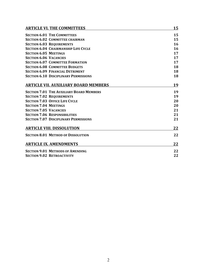| <b>ARTICLE VI. THE COMMITTEES</b>               | 15 |
|-------------------------------------------------|----|
| <b>SECTION 6.01 THE COMMITTEES</b>              | 15 |
| <b>SECTION 6.02 COMMITTEE CHAIRMAN</b>          | 15 |
| <b>SECTION 6.03 REQUIREMENTS</b>                | 16 |
| <b>SECTION 6.04 CHAIRMANSHIP LIFE CYCLE</b>     | 16 |
| <b>SECTION 6.05 MEETINGS</b>                    | 17 |
| <b>SECTION 6.06 VACANCIES</b>                   | 17 |
| <b>SECTION 6.07 COMMITTEE FORMATION</b>         | 17 |
| <b>SECTION 6.08 COMMITTEE BUDGETS</b>           | 18 |
| <b>SECTION 6.09 FINANCIAL DETRIMENT</b>         | 18 |
| <b>SECTION 6.10 DISCIPLINARY PERMISSIONS</b>    | 18 |
| <b>ARTICLE VII. AUXILIARY BOARD MEMBERS</b>     | 19 |
| <b>SECTION 7.01 THE AUXILIARY BOARD MEMBERS</b> | 19 |
| <b>SECTION 7.02 REQUIREMENTS</b>                | 19 |
| <b>SECTION 7.03 OFFICE LIFE CYCLE</b>           | 20 |
| <b>SECTION 7.04 MEETINGS</b>                    | 20 |
| <b>SECTION 7.05 VACANCIES</b>                   | 21 |
| <b>SECTION 7.06 RESPONSIBILITIES</b>            | 21 |
| <b>SECTION 7.07 DISCIPLINARY PERMISSIONS</b>    | 21 |
| <b>ARTICLE VIII. DISSOLUTION</b>                | 22 |
| <b>SECTION 8.01 METHOD OF DISSOLUTION</b>       | 22 |
| <b>ARTICLE IX. AMENDMENTS</b>                   | 22 |
| <b>SECTION 9.01 METHODS OF AMENDING</b>         | 22 |
| <b>SECTION 9.02 RETROACTIVITY</b>               | 22 |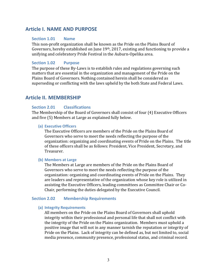## **Article I. NAME AND PURPOSE**

## **Section 1.01 Name**

This non-profit organization shall be known as the Pride on the Plains Board of Governors, hereby established on June  $19<sup>th</sup>$ , 2017, existing and functioning to provide a unifying and celebratory Pride Festival in the Auburn-Opelika area.

## **Section 1.02 Purpose**

The purpose of these By-Laws is to establish rules and regulations governing such matters that are essential in the organization and management of the Pride on the Plains Board of Governors. Nothing contained herein shall be considered as superseding or conflicting with the laws upheld by the both State and Federal Laws.

## **Article II. MEMBERSHIP**

## **Section 2.01 Classifications**

The Membership of the Board of Governors shall consist of four (4) Executive Officers and five (5) Members at Large as explained fully below.

#### **(a) Executive Officers**

The Executive Officers are members of the Pride on the Plains Board of Governors who serve to meet the needs reflecting the purpose of the organization: organizing and coordinating events of Pride on the Plains. The title of these officers shall be as follows: President, Vice President, Secretary, and Treasurer. 

#### **(b) Members at Large**

The Members at Large are members of the Pride on the Plains Board of Governors who serve to meet the needs reflecting the purpose of the organization: organizing and coordinating events of Pride on the Plains. They are leaders and representative of the organization whose key role is utilized in assisting the Executive Officers, leading committees as Committee Chair or Co-Chair, performing the duties delegated by the Executive Council.

## **Section 2.02 Membership Requirements**

#### **(a) Integrity Requirements**

All members on the Pride on the Plains Board of Governors shall uphold integrity within their professional and personal life that shall not conflict with the integrity of the Pride on the Plains organization. Members must uphold a positive image that will not in any manner tarnish the reputation or integrity of Pride on the Plains. Lack of integrity can be defined as, but not limited to, social media presence, community presence, professional status, and criminal record.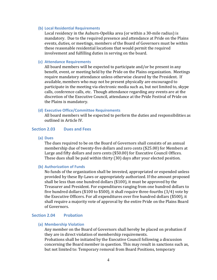#### **(b) Local Residential Requirements**

Local residency in the Auburn-Opelika area (or within a 30-mile radius) is mandatory. Due to the required presence and attendance at Pride on the Plains events, duties, or meetings, members of the Board of Governors must be within these reasonable residential locations that would permit the required involvement and fulfilling duties in serving on the board.

#### **(c) Attendance Requirements**

All board members will be expected to participate and/or be present in any benefit, event, or meeting held by the Pride on the Plains organization. Meetings require mandatory attendance unless otherwise cleared by the President. If available, members who may not be present physically are encouraged to participate in the meeting via electronic media such as, but not limited to, skype calls, conference calls, etc. Though attendance regarding any events are at the discretion of the Executive Council, attendance at the Pride Festival of Pride on the Plains is mandatory.

#### **(d) Executive Office/Committee Requirements**

All board members will be expected to perform the duties and responsibilities as outlined in Article IV.

## **Section 2.03 Dues and Fees**

**(a) Dues**

The dues required to be on the Board of Governors shall consists of an annual membership due of twenty-five dollars and zero cents (\$25.00) for Members at Large and fifty dollars and zero cents (\$50.00) for Executive Council Offices. These dues shall be paid within thirty (30) days after your elected position.

#### **(b) Authorization of Funds**

No funds of the organization shall be invested, appropriated or expended unless provided by these By-Laws or appropriately authorized. If the amount proposed shall be less than one hundred dollars  $($100)$ , it must be approved by the Treasurer and President. For expenditures ranging from one hundred dollars to five hundred dollars (\$100 to \$500), it shall require three-fourths (3/4) vote by the Executive Officers. For all expenditures over five hundred dollars (\$500), it shall require a majority vote of approval by the entire Pride on the Plains Board of Governors.

#### **Section 2.04 Probation**

## **(a) Membership Violation**

Any member on the Board of Governors shall hereby be placed on probation if they are in direct violation of membership requirements.

Probations shall be initiated by the Executive Council following a discussion concerning the Board member in question. This may result in sanctions such as, but not limited to: Temporary removal from Board Positions, temporary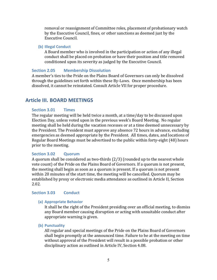removal or reassignment of Committee roles, placement of probationary watch by the Executive Council, fines, or other sanctions as deemed just by the Executive Council.

## **(b) Illegal Conduct**

A Board member who is involved in the participation or action of any illegal conduct shall be placed on probation or have their position and title removed conditioned upon its severity as judged by the Executive Council.

## **Section 2.05 Membership Dissolution**

A member's ties to the Pride on the Plains Board of Governors can only be dissolved through the guidelines set forth within these By-Laws. Once membership has been dissolved, it cannot be reinstated. Consult Article VII for proper procedure.

## **Article III. BOARD MEETINGS**

## **Section 3.01 Times**

The regular meeting will be held twice a month, at a time/day to be discussed upon Election Day, unless voted upon in the previous week's Board Meeting. No regular meeting shall be held during the vacation recesses or at a time deemed unnecessary by the President. The President must approve any absence 72 hours in advance, excluding emergencies as deemed appropriate by the President. All times, dates, and locations of Regular Board Meetings must be advertised to the public within forty-eight (48) hours prior to the meeting.

## **Section 3.02 Quorum**

A quorum shall be considered as two-thirds  $(2/3)$  (rounded up to the nearest whole vote count) of the Pride on the Plains Board of Governors. If a quorum is not present, the meeting shall begin as soon as a quorum is present. If a quorum is not present within 20 minutes of the start time, the meeting will be cancelled. Quorum may be established by proxy or electronic media attendance as outlined in Article II, Section 2.02.

## **Section 3.03 Conduct**

## **(a) Appropriate Behavior**

It shall be the right of the President presiding over an official meeting, to dismiss any Board member causing disruption or acting with unsuitable conduct after appropriate warning is given.

**(b) Punctuality**

All regular and special meetings of the Pride on the Plains Board of Governors shall begin promptly at the announced time. Failure to be at the meeting on time without approval of the President will result in a possible probation or other disciplinary action as outlined in Article IV, Section 4.08.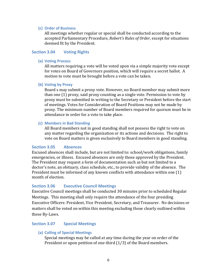## **(c) Order of Business**

All meetings whether regular or special shall be conducted according to the accepted Parliamentary Procedure, *Robert's Rules of Order*, except for situations deemed fit by the President.

## **Section 3.04 •• Voting Rights**

## **(a) Voting Process**

All matters requiring a vote will be voted upon via a simple majority vote except for votes on Board of Governors position, which will require a secret ballot. A motion to vote must be brought before a vote can be taken.

## **(b) Voting by Proxy**

Board s may submit a proxy vote. However, no Board member may submit more than one  $(1)$  proxy, said proxy counting as a single vote. Permission to vote by proxy must be submitted in writing to the Secretary or President before the start of meetings. Votes for Consideration of Board Positions may not be made by proxy. The minimum number of Board members required for quorum must be in attendance in order for a vote to take place.

## **(c) Members in Bad Standing**

All Board members not in good standing shall not possess the right to vote on any matter regarding the organization or its actions and decisions. The right to vote on Board matters is given exclusively to Board members in good standing.

## **Section 3.05 Absences**

Excused absences shall include, but are not limited to: school/work obligations, family emergencies, or illness. Excused absences are only those approved by the President. The President may request a form of documentation such as but not limited to a doctor's note, an obituary, class schedule, etc., to provide validity of the absence. The President must be informed of any known conflicts with attendance within one  $(1)$ month of election.

## **Section 3.06 •• Executive Council Meetings**

Executive Council meetings shall be conducted 30 minutes prior to scheduled Regular Meetings. This meeting shall only require the attendance of the four presiding Executive Officers: President, Vice President, Secretary, and Treasurer. No decisions or matters shall be voted on within this meeting excluding those clearly outlined within these By-Laws.

## **Section 3.07 Special Meetings**

**(a) Calling of Special Meetings**

Special meetings may be called at any time during the year on order of the President or upon petition of one-third  $(1/3)$  of the Board members.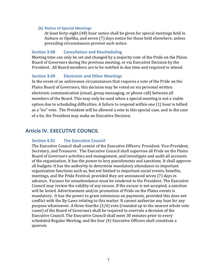#### **(b) Notice of Special Meetings**

At least forty-eight (48) hour notice shall be given for special meetings held in Auburn or Opelika, and seven (7) days notice for those held elsewhere, unless prevailing circumstances prevent such notice.

## **Section 3.08 •• Cancellation and Rescheduling**

Meeting time can only be set and changed by a majority vote of the Pride on the Plains Board of Governors during the previous meeting, or via Executive Decision by the President. All Board members are to be notified in due time and required to attend.

## **Section 3.09 •• Electronic and Other Meetings**

In the event of an unforeseen circumstances that requires a vote of the Pride on the Plains Board of Governors, this decision may be voted on via personal written electronic communication (email, group messaging, or phone call) between all members of the Board. This may only be used when a special meeting is not a viable option due to scheduling difficulties. A failure to respond within one  $(1)$  hour is tallied as a "no" vote. The President will be allowed a vote in this special case, and in the case of a tie, the President may make an Executive Decision.

## **Article IV. <b>EXECUTIVE COUNCIL**

## **Section 4.01 The Executive Council**

The Executive Council shall consist of the Executive Officers: President, Vice-President, Secretary, and Treasurer. The Executive Council shall supervise all Pride on the Plains Board of Governors activities and management, and investigate and audit all accounts of the organization. It has the power to levy punishments and sanctions. It shall approve all budgets. It has the authority to determine mandatory attendance to important organization functions such as, but not limited to important social events, benefits, meetings, and the Pride Festival, provided they are announced seven (7) days in advance. Excuses for nonattendance must be rendered to the President. The Executive Council may review the validity of any excuse. If the excuse is not accepted, a sanction will be levied. Advertisement and/or promotion of Pride on the Plains events is mandatory. It has the power to grant extensions on payments, provided this does not conflict with the By-Laws relating to this matter. It cannot authorize any loan for any purpose whatsoever. A three-fourths  $(3/4)$  vote (rounded up to the nearest whole vote count) of the Board of Governors shall be required to overrule a decision of the Executive Council. The Executive Council shall meet 30 minutes prior to every scheduled Regular Meeting, and the four (4) Executive Officers shall constitute a quorum.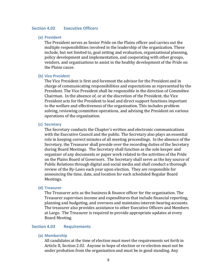## **Section 4.02 Executive Officers**

## **(a) President**

The President serves as Senior Pride on the Plains officer and carries out the multiple responsibilities involved in the leadership of the organization. These include, but not limited to, goal setting and evaluation, organizational planning, policy development and implementation, and cooperating with other groups, vendors, and organizations to assist in the healthy development of the Pride on the Plains cause.

#### **(b) Vice President**

The Vice President is first and foremost the advisor for the President and in charge of communicating responsibilities and expectations as represented by the President. The Vice President shall be responsible in the direction of Committee Chairman. In the absence of, or at the discretion of the President, the Vice President acts for the President to lead and direct support functions important to the welfare and effectiveness of the organization. This includes problem solving, reviewing committee operations, and advising the President on various operations of the organization.

#### **(c) Secretary**

The Secretary conducts the Chapter's written and electronic communications with the Executive Council and the public. The Secretary also plays an essential role in keeping correct minutes of all meeting proceedings. In the absence of the Secretary, the Treasurer shall preside over the recording duties of the Secretary during Board Meetings. The Secretary shall function as the sole keeper and organizer of any documents or paper work related to the activities of the Pride on the Plains Board of Governors. The Secretary shall serve as the key source of Public Relations through digital and social media and shall conduct a thorough review of the By-Laws each year upon election. They are responsible for announcing the time, date, and location for each scheduled Regular Board Meetings.

#### **(d) Treasurer**

The Treasurer acts as the business  $&$  finance officer for the organization. The Treasurer supervises income and expenditures that include financial reporting, planning and budgeting, and oversees and maintains interest-bearing accounts. The treasurer also provides assistance to other Executive Officers and Members at Large. The Treasurer is required to provide appropriate updates at every Board Meeting.

#### **Section 4.03 Requirements**

**(a) Membership**

All candidates at the time of election must meet the requirements set forth in Article II, Section 2.02. Anyone in hope of election or re-election must not be under probation from the organization and must be in good standing. Any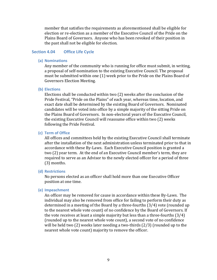member that satisfies the requirements as aforementioned shall be eligible for election or re-election as a member of the Executive Council of the Pride on the Plains Board of Governors. Anyone who has been revoked of their position in the past shall not be eligible for election.

#### **Section 4.04 Office Life Cycle**

#### **(a) Nominations**

Any member of the community who is running for office must submit, in writing, a proposal of self-nomination to the existing Executive Council. The proposal must be submitted within one (1) week prior to the Pride on the Plains Board of Governors Election Meeting.

#### **(b) Elections**

Elections shall be conducted within two  $(2)$  weeks after the conclusion of the Pride Festival, "Pride on the Plains" of each year, whereas time, location, and exact date shall be determined by the existing Board of Governors. Nominated candidates will be voted into office by a simple majority of the sitting Pride on the Plains Board of Governors. In non-electoral years of the Executive Council, the existing Executive Council will reassume office within two (2) weeks following the Pride Festival.

#### **(c) Term of Office**

All offices and committees held by the existing Executive Council shall terminate after the installation of the next administration unless terminated prior to that in accordance with these By-Laws. Each Executive Council position is granted a two (2) year term. At the end of an Executive Council member's term, they are required to serve as an Advisor to the newly elected officer for a period of three (3) months.

#### **(d) Restrictions**

No persons elected as an officer shall hold more than one Executive Officer position at one time.

#### **(e) Impeachment**

An officer may be removed for cause in accordance within these By-Laws. The individual may also be removed from office for failing to perform their duty as determined in a meeting of the Board by a three-fourths  $(3/4)$  vote (rounded up to the nearest whole vote count) of no confidence by the Board of Governors. If the vote receives at least a simple majority but less than a three-fourths  $(3/4)$ (rounded up to the nearest whole vote count), a second vote of no confidence will be held two  $(2)$  weeks later needing a two-thirds  $(2/3)$  (rounded up to the nearest whole vote count) majority to remove the officer.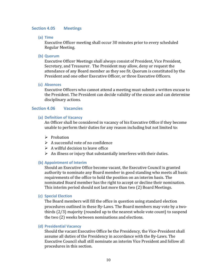#### **Section 4.05 Meetings**

**(a) Time**

Executive Officer meeting shall occur 30 minutes prior to every scheduled Regular Meeting. 

**(b) Quorum**

Executive Officer Meetings shall always consist of President, Vice President, Secretary, and Treasurer. The President may allow, deny or request the attendance of any Board member as they see fit. Quorum is constituted by the President and one other Executive Officer, or three Executive Officers.

**(c) Absences**

Executive Officers who cannot attend a meeting must submit a written excuse to the President. The President can decide validity of the excuse and can determine disciplinary actions.

## **Section 4.06 Vacancies**

### **(a) Definition of Vacancy**

An Officer shall be considered in vacancy of his Executive Office if they become unable to perform their duties for any reason including but not limited to:

- $\triangleright$  Probation
- $\triangleright$  A successful vote of no confidence
- $\triangleright$  A willful decision to leave office
- $\triangleright$  An illness or injury that substantially interferes with their duties.

#### **(b) Appointment of Interim**

Should an Executive Office become vacant, the Executive Council is granted authority to nominate any Board member in good standing who meets all basic requirements of the office to hold the position on an interim basis. The nominated Board member has the right to accept or decline their nomination. This interim period should not last more than two (2) Board Meetings.

### **(c) Special Election**

The Board members will fill the office in question using standard election procedures outlined in these By-Laws. The Board members may vote by a twothirds  $(2/3)$  majority (rounded up to the nearest whole vote count) to suspend the two (2) weeks between nominations and elections.

#### **(d) Presidential Vacancy**

Should the vacant Executive Office be the Presidency, the Vice-President shall assume all duties of the Presidency in accordance with the By-Laws. The Executive Council shall still nominate an interim Vice President and follow all procedures in this section.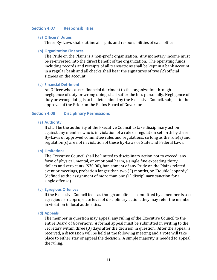#### **Section 4.07 Responsibilities**

#### **(a) Officers' Duties**

These By-Laws shall outline all rights and responsibilities of each office.

#### **(b) Organization Finances**

The Pride on the Plains is a non-profit organization. Any monetary income must be re-invested into the direct benefit of the organization. The operating funds including records and receipts of all transactions shall be kept in a bank account in a regular bank and all checks shall bear the signatures of two  $(2)$  official signees on the account.

#### **(c) Financial Detriment**

An Officer who causes financial detriment to the organization through negligence of duty or wrong doing, shall suffer the loss personally. Negligence of duty or wrong doing is to be determined by the Executive Council, subject to the approval of the Pride on the Plains Board of Governors.

## **Section 4.08 Disciplinary Permissions**

### **(a) Authority**

It shall be the authority of the Executive Council to take disciplinary action against any member who is in violation of a rule or regulation set forth by these By-Laws or approved committee rules and regulations, so long as the rule(s) and regulation(s) are not in violation of these By-Laws or State and Federal Laws.

#### **(b) Limitations**

The Executive Council shall be limited to disciplinary action not to exceed: any form of physical, mental, or emotional harm, a single fine exceeding thirty dollars and zero cents (\$30.00), banishment of any Pride on the Plains related event or meetings, probation longer than two (2) months, or "Double Jeopardy" (defined as the assignment of more than one  $(1)$  disciplinary sanction for a single offense).

#### **(c) Egregious Offences**

If the Executive Council feels as though an offense committed by a member is too egregious for appropriate level of disciplinary action, they may refer the member in violation to local authorities.

#### **(d) Appeals**

The member in question may appeal any ruling of the Executive Council to the entire Board of Governors. A formal appeal must be submitted in writing to the Secretary within three  $(3)$  days after the decision in question. After the appeal is received, a discussion will be held at the following meeting and a vote will take place to either stay or appeal the decision. A simple majority is needed to appeal the ruling.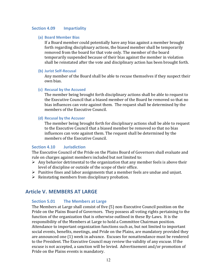### **Section 4.09 Impartiality**

#### **(a) Board Member Bias**

If a Board member could potentially have any bias against a member brought forth regarding disciplinary actions, the biased member shall be temporarily removed from the board for that vote only. The member of the board temporarily suspended because of their bias against the member in violation shall be reinstated after the vote and disciplinary action has been brought forth.

#### **(b) Jurist Self-Recusal**

Any member of the Board shall be able to recuse themselves if they suspect their own bias.

#### **(c) Recusal by the Accused**

The member being brought forth disciplinary actions shall be able to request to the Executive Council that a biased member of the Board be removed so that no bias influences can vote against them. The request shall be determined by the members of the Executive Council.

#### **(d) Recusal by the Accuser**

The member being brought forth for disciplinary actions shall be able to request to the Executive Council that a biased member be removed so that no bias influences can vote against them. The request shall be determined by the members of the Executive Council.

## **Section 4.10** *Jurisdiction*

The Executive Council of the Pride on the Plains Board of Governors shall evaluate and rule on charges against members included but not limited to:

- $\triangleright$  Any behavior detrimental to the organization that any member feels is above their level of discipline or outside of the scope of their office.
- $\triangleright$  Punitive fines and labor assignments that a member feels are undue and unjust.
- $\triangleright$  Reinstating members from disciplinary probation.

## **Article V. MEMBERS AT LARGE**

#### **Section 5.01 The Members at Large**

The Members at Large shall consist of five (5) non-Executive Council position on the Pride on the Plains Board of Governors. They possess all voting rights pertaining to the function of the organization that is otherwise outlined in these By-Laws. It is the responsibility of the Members at Large to hold a Committee Chairman position. Attendance to important organization functions such as, but not limited to important social events, benefits, meetings, and Pride on the Plains, are mandatory provided they are announced one (1) week in advance. Excuses for nonattendance must be rendered to the President. The Executive Council may review the validity of any excuse. If the excuse is not accepted, a sanction will be levied. Advertisement and/or promotion of Pride on the Plains events is mandatory.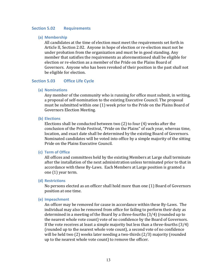#### **Section 5.02 Requirements**

#### **(a) Membership**

All candidates at the time of election must meet the requirements set forth in Article II, Section 2.02. Anyone in hope of election or re-election must not be under probation from the organization and must be in good standing. Any member that satisfies the requirements as aforementioned shall be eligible for election or re-election as a member of the Pride on the Plains Board of Governors. Anyone who has been revoked of their position in the past shall not be eligible for election.

#### **Section 5.03 Office Life Cycle**

#### **(a) Nominations**

Any member of the community who is running for office must submit, in writing, a proposal of self-nomination to the existing Executive Council. The proposal must be submitted within one (1) week prior to the Pride on the Plains Board of Governors Election Meeting.

#### **(b) Elections**

Elections shall be conducted between two  $(2)$  to four  $(4)$  weeks after the conclusion of the Pride Festival, "Pride on the Plains" of each year, whereas time, location, and exact date shall be determined by the existing Board of Governors. Nominated candidates will be voted into office by a simple majority of the sitting Pride on the Plains Executive Council.

#### **(c) Term of Office**

All offices and committees held by the existing Members at Large shall terminate after the installation of the next administration unless terminated prior to that in accordance with these By-Laws. Each Members at Large position is granted a one (1) year term.

#### **(d) Restrictions**

No persons elected as an officer shall hold more than one (1) Board of Governors position at one time.

#### **(e) Impeachment**

An officer may be removed for cause in accordance within these By-Laws. The individual may also be removed from office for failing to perform their duty as determined in a meeting of the Board by a three-fourths  $(3/4)$  (rounded up to the nearest whole vote count) vote of no confidence by the Board of Governors. If the vote receives at least a simple majority but less than a three-fourths  $(3/4)$ (rounded up to the nearest whole vote count), a second vote of no confidence will be held two  $(2)$  weeks later needing a two-thirds  $(2/3)$  majority (rounded up to the nearest whole vote count) to remove the officer.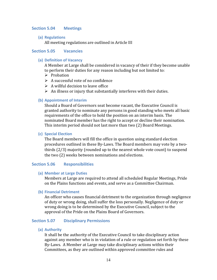## **Section 5.04 Meetings**

#### **(a) Regulations**

All meeting regulations are outlined in Article III

## **Section 5.05 Vacancies**

#### **(a) Definition of Vacancy**

A Member at Large shall be considered in vacancy of their if they become unable to perform their duties for any reason including but not limited to:

- $\triangleright$  Probation
- $\triangleright$  A successful vote of no confidence
- $\triangleright$  A willful decision to leave office
- $\triangleright$  An illness or injury that substantially interferes with their duties.

#### **(b) Appointment of Interim**

Should a Board of Governors seat become vacant, the Executive Council is granted authority to nominate any persons in good standing who meets all basic requirements of the office to hold the position on an interim basis. The nominated Board member has the right to accept or decline their nomination. This interim period should not last more than two (2) Board Meetings.

#### **(c) Special Election**

The Board members will fill the office in question using standard election procedures outlined in these By-Laws. The Board members may vote by a twothirds  $(2/3)$  majority (rounded up to the nearest whole vote count) to suspend the two (2) weeks between nominations and elections.

#### **Section 5.06 Responsibilities**

**(a) Member at Large Duties**

Members at Large are required to attend all scheduled Regular Meetings, Pride on the Plains functions and events, and serve as a Committee Chairman.

#### **(b) Financial Detriment**

An officer who causes financial detriment to the organization through negligence of duty or wrong doing, shall suffer the loss personally. Negligence of duty or wrong doing is to be determined by the Executive Council, subject to the approval of the Pride on the Plains Board of Governors.

## **Section 5.07 Disciplinary Permissions**

**(a) Authority**

It shall be the authority of the Executive Council to take disciplinary action against any member who is in violation of a rule or regulation set forth by these By-Laws. A Member at Large may take disciplinary actions within their Committees, as they are outlined within approved committee rules and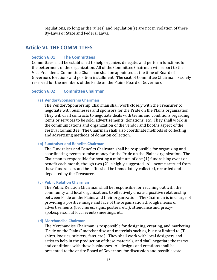regulations, so long as the rule(s) and regulation(s) are not in violation of these By-Laws or State and Federal Laws.

## **Article VI. THE COMMITTEES**

## **Section 6.01 The Committees**

Committees shall be established to help organize, delegate, and perform functions for the betterment of the organization. All of the Committee Chairman will report to the Vice President. Committee Chairman shall be appointed at the time of Board of Governors Elections and position installment. The seat of Committee Chairman is solely reserved for the members of the Pride on the Plains Board of Governors.

#### **Section 6.02 •• Committee Chairman**

#### **(a) Vendor/Sponsorship Chairman**

The Vendor/Sponsorship Chairman shall work closely with the Treasurer to negotiate with businesses and sponsors for the Pride on the Plains organization. They will draft contracts to negotiate deals with terms and conditions regarding items or services to be sold, advertisements, donations, etc. They shall work in the communications and organization of the vendor and booths aspect of the Festival Committee. The Chairman shall also coordinate methods of collecting and advertising methods of donation collection.

### **(b) Fundraiser and Benefits Chairman**

The Fundraiser and Benefits Chairman shall be responsible for organizing and coordinating events to raise money for the Pride on the Plains organization. The Chairman is responsible for hosting a minimum of one  $(1)$  fundraising event or benefit each month, though two  $(2)$  is highly suggested. All income accrued from these fundraisers and benefits shall be immediately collected, recorded and deposited by the Treasurer.

#### **(c) Public Relation Chairman**

The Public Relation Chairman shall be responsible for reaching out with the community and local organizations to effectively create a positive relationship between Pride on the Plains and their organization. The Chairman is in charge of providing a positive image and face of the organization through means of advertisements (brochures, signs, posters, etc.), attendance and proxyspokesperson at local events/meetings, etc.

#### **(d) Merchandise Chairman**

The Merchandise Chairman is responsible for designing, creating, and marketing "Pride on the Plains" merchandise and materials such as, but not limited to (Tshirts, koozies, stickers, fans, etc.). They shall work with local designers and artist to help in the production of these materials, and shall negotiate the terms and conditions with these businesses. All designs and creations shall be presented to the entire Board of Governors for discussion and possible vote.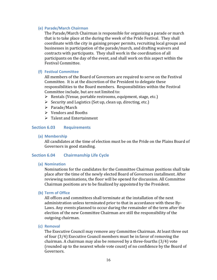## **(e) Parade/March Chairman**

The Parade/March Chairman is responsible for organizing a parade or march that is to take place at the during the week of the Pride Festival. They shall coordinate with the city in gaining proper permits, recruiting local groups and businesses in participation of the parade/march, and drafting waivers and contracts with participants. They shall work in the coordination of all participants on the day of the event, and shall work on this aspect within the Festival Committee.

## **(f) Festival Committee**

All members of the Board of Governors are required to serve on the Festival Committee. It is at the discretion of the President to delegate these responsibilities to the Board members. Responsibilities within the Festival Committee include, but are not limited to:

- $\triangleright$  Rentals (Venue, portable restrooms, equipment, stage, etc.)
- $\triangleright$  Security and Logistics (Set up, clean up, directing, etc.)
- Ø Parade/March
- $\triangleright$  Vendors and Booths
- $\triangleright$  Talent and Entertainment

## **Section 6.03 Requirements**

## **(a) Membership**

All candidates at the time of election must be on the Pride on the Plains Board of Governors in good standing.

## **Section 6.04 Chairmanship Life Cycle**

#### **(a) Nomination**

Nominations for the candidates for the Committee Chairman positions shall take place after the time of the newly elected Board of Governors installment. After reviewing nominations, the floor will be opened for discussion. All Committee Chairman positions are to be finalized by appointed by the President.

## **(b) Term of Office**

All offices and committees shall terminate at the installation of the next administration unless terminated prior to that in accordance with these By-Laws. Any events planned to occur during the remainder of the term after the election of the new Committee Chairman are still the responsibility of the outgoing chairman.

#### **(c) Removal**

The Executive Council may remove any Committee Chairman. At least three out of four  $(3/4)$  Executive Council members must be in favor of removing the chairman. A chairman may also be removed by a three-fourths  $(3/4)$  vote (rounded up to the nearest whole vote count) of no confidence by the Board of Governors.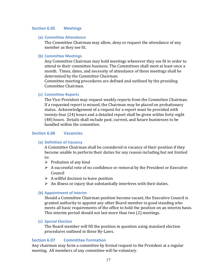## **Section 6.05 Meetings**

#### **(a) Committee Attendance**

The Committee Chairman may allow, deny or request the attendance of any member as they see fit.

#### **(b) Committee Meetings**

Any Committee Chairman may hold meetings whenever they see fit in order to attend to their committee business. The Committees shall meet at least once a month. Times, dates, and necessity of attendance of these meetings shall be determined by the Committee Chairman.

Committee meeting procedures are defined and outlined by the presiding Committee Chairman.

#### **(c) Committee Reports**

The Vice-President may request weekly reports from the Committee Chairman. If a requested report is missed, the Chairman may be placed on probationary status. Acknowledgement of a request for a report must be provided with twenty-four (24) hours and a detailed report shall be given within forty-eight (48) hours. Details shall include past, current, and future businesses to be handled within the committee.

## **Section 6.06 Vacancies**

#### **(a) Definition of Vacancy**

A Committee Chairman shall be considered in vacancy of their position if they become unable to perform their duties for any reason including but not limited to:

- $\triangleright$  Probation of any kind
- $\triangleright$  A successful vote of no confidence or removal by the President or Executive Council
- $\triangleright$  A willful decision to leave position
- $\triangleright$  An illness or injury that substantially interferes with their duties.

#### **(b) Appointment of Interim**

Should a Committee Chairman position become vacant, the Executive Council is granted authority to appoint any other Board member in good standing who meets all basic requirements of the office to hold the position on an interim basis. This interim period should not last more than two (2) meetings.

#### **(c) Special Election**

The Board member will fill the position in question using standard election procedures outlined in these By-Laws.

### **Section 6.07 Committee Formation**

Any chairman may form a committee by formal request to the President at a regular meeting. All members of any committee will be voluntary.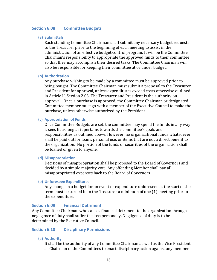#### **Section 6.08 •• Committee Budgets**

#### **(a) Submittals**

Each standing Committee Chairman shall submit any necessary budget requests to the Treasurer prior to the beginning of each meeting to assist in the administration of an effective budget control program. It will be the Committee Chairman's responsibility to appropriate the approved funds to their committee so that they may accomplish their desired tasks. The Committee Chairman will also be responsible for keeping their committee at or under budget.

#### **(b) Authorization**

Any purchase wishing to be made by a committee must be approved prior to being bought. The Committee Chairman must submit a proposal to the Treasurer and President for approval, unless expenditures exceed costs otherwise outlined in Article II, Section 2.03. The Treasurer and President is the authority on approval. Once a purchase is approved, the Committee Chairman or designated Committee member must go with a member of the Executive Council to make the purchase, unless otherwise authorized by the President.

#### **(c) Appropriation of Funds**

Once Committee Budgets are set, the committee may spend the funds in any way it sees fit as long as it pertains towards the committee's goals and responsibilities as outlined above. However, no organizational funds whatsoever shall be paid out for loans, personal use, or items that are not a direct benefit to the organization. No portion of the funds or securities of the organization shall be loaned or given to anyone.

#### **(d) Misappropriation**

Decisions of misappropriation shall be proposed to the Board of Governors and decided by a simple majority vote. Any offending Member shall pay all misappropriated expenses back to the Board of Governors.

#### **(e) Unforeseen Expenditures**

Any change in a budget for an event or expenditure unforeseen at the start of the term must be turned in to the Treasurer a minimum of one (1) meeting prior to the expenditure.

### **Section 6.09 • Financial Detriment**

Any Committee Chairman who causes financial detriment to the organization through negligence of duty shall suffer the loss personally. Negligence of duty is to be determined by the Executive Council.

## **Section 6.10 Disciplinary Permissions**

#### **(a) Authority**

It shall be the authority of any Committee Chairman as well as the Vice President as Chairman of the Committees to enact disciplinary action against any member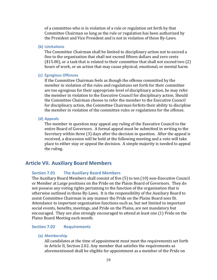of a committee who is in violation of a rule or regulation set forth by that Committee Chairman so long as the rule or regulation has been authorized by the President and Vice President and is not in violation of these By-Laws.

#### **(b) Limitations**

The Committee Chairman shall be limited to disciplinary action not to exceed a fine to the organization that shall not exceed fifteen dollars and zero cents  $($15.00)$ , or a task that is related to their committee that shall not exceed two  $(2)$ hours of work, or an action that may cause physical, emotional, or mental harm.

#### **(c) Egregious Offences**

If the Committee Chairman feels as though the offense committed by the member in violation of the rules and regulations set forth for their committee are too egregious for their appropriate level of disciplinary action, he may refer the member in violation to the Executive Council for disciplinary action. Should the Committee Chairman choose to refer the member to the Executive Council for disciplinary action, the Committee Chairman forfeits their ability to discipline the member in violation of the committee rules or regulations for the offense.

#### **(d) Appeals**

The member in question may appeal any ruling of the Executive Council to the entire Board of Governors. A formal appeal must be submitted in writing to the Secretary within three (3) days after the decision in question. After the appeal is received, a discussion will be held at the following meeting and a vote will take place to either stay or appeal the decision. A simple majority is needed to appeal the ruling.

## **Article VII. Auxiliary Board Members**

## **Section 7.01 •• The Auxiliary Board Members**

The Auxiliary Board Members shall consist of five (5) to ten (10) non-Executive Council or Member at Large positions on the Pride on the Plains Board of Governors. They do not possess any voting rights pertaining to the function of the organization that is otherwise outlined in these By-Laws. It is the responsibility of the Auxiliary Board to assist Committee Chairman in any manner the Pride on the Plains Board sees fit. Attendance to important organization functions such as, but not limited to important social events, benefits, meetings, and Pride on the Plains, are not mandatory but encouraged. They are also strongly encouraged to attend at least one (1) Pride on the Plains Board Meeting each month.

## **Section 7.02 Requirements**

**(a) Membership**

All candidates at the time of appointment must meet the requirements set forth in Article II, Section 2.02. Any member that satisfies the requirements as aforementioned shall be eligible for appointment as a member of the Pride on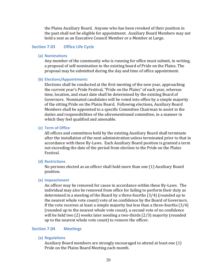the Plains Auxiliary Board. Anyone who has been revoked of their position in the past shall not be eligible for appointment. Auxiliary Board Members may not hold a seat as an Executive Council Member or a Member at Large.

## **Section 7.03 Office Life Cycle**

**(a) Nominations**

Any member of the community who is running for office must submit, in writing, a proposal of self-nomination to the existing board of Pride on the Plains. The proposal may be submitted during the day and time of office appointment.

#### **(b) Elections/Appointments**

Elections shall be conducted at the first meeting of the new year, approaching the current year's Pride Festival, "Pride on the Plains" of each year, whereas time, location, and exact date shall be determined by the existing Board of Governors. Nominated candidates will be voted into office by a simple majority of the sitting Pride on the Plains Board. Following elections, Auxiliary Board Members shall be appointed to a specific Committee Chairman to assist in the duties and responsibilities of the aforementioned committee, in a manner in which they feel qualified and amenable.

## **(c) Term of Office**

All offices and committees held by the existing Auxiliary Board shall terminate after the installation of the next administration unless terminated prior to that in accordance with these By-Laws. Each Auxiliary Board position is granted a term not exceeding the date of the period from election to the Pride on the Plains Festival.

#### **(d) Restrictions**

No persons elected as an officer shall hold more than one (1) Auxiliary Board position.

#### **(e) Impeachment**

An officer may be removed for cause in accordance within these By-Laws. The individual may also be removed from office for failing to perform their duty as determined in a meeting of the Board by a three-fourths  $(3/4)$  (rounded up to the nearest whole vote count) vote of no confidence by the Board of Governors. If the vote receives at least a simple majority but less than a three-fourths  $(3/4)$ (rounded up to the nearest whole vote count), a second vote of no confidence will be held two  $(2)$  weeks later needing a two-thirds  $(2/3)$  majority (rounded up to the nearest whole vote count) to remove the officer.

## **Section 7.04 Meetings**

**(a) Regulations**

Auxiliary Board members are strongly encouraged to attend at least one (1) Pride on the Plains Board Meeting each month.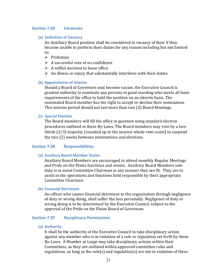## **Section 7.05 Vacancies**

#### **(a) Definition of Vacancy**

An Auxiliary Board position shall be considered in vacancy of their if they become unable to perform their duties for any reason including but not limited to:

- $\triangleright$  Probation
- $\triangleright$  A successful vote of no confidence
- $\triangleright$  A willful decision to leave office
- $\triangleright$  An illness or injury that substantially interferes with their duties.

#### **(b) Appointment of Interim**

Should a Board of Governors seat become vacant, the Executive Council is granted authority to nominate any persons in good standing who meets all basic requirements of the office to hold the position on an interim basis. The nominated Board member has the right to accept or decline their nomination. This interim period should not last more than two (2) Board Meetings.

#### **(c) Special Election**

The Board members will fill the office in question using standard election procedures outlined in these By-Laws. The Board members may vote by a twothirds  $(2/3)$  majority (rounded up to the nearest whole vote count) to suspend the two (2) weeks between nominations and elections.

## **Section 7.06 Responsibilities**

#### **(a) Auxiliary Board Member Duties**

Auxiliary Board Members are encouraged to attend monthly Regular Meetings and Pride on the Plains functions and events. Auxiliary Board Members sole duty is to assist Committee Chairman in any manner they see fit. They are to assist in the operations and functions held responsible by their appropriate Committee Chairman.

#### **(b) Financial Detriment**

An officer who causes financial detriment to the organization through negligence of duty or wrong doing, shall suffer the loss personally. Negligence of duty or wrong doing is to be determined by the Executive Council, subject to the approval of the Pride on the Plains Board of Governors.

## **Section 7.07 Disciplinary Permissions**

**(a) Authority**

It shall be the authority of the Executive Council to take disciplinary action against any member who is in violation of a rule or regulation set forth by these By-Laws. A Member at Large may take disciplinary actions within their Committees, as they are outlined within approved committee rules and regulations, so long as the rule(s) and regulation(s) are not in violation of these